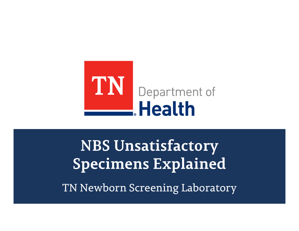

**NBS Unsatisfactory Specimens Explained**

TN Newborn Screening Laboratory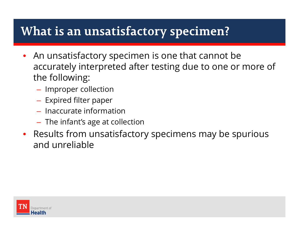# **What is an unsatisfactory specimen?**

- • An unsatisfactory specimen is one that cannot be accurately interpreted after testing due to one or more of the following:
	- $-$  Improper collection
	- $-$  Expired filter paper
	- Inaccurate information
	- $\;$  The infant's age at collection
- • Results from unsatisfactory specimens may be spurious and unreliable

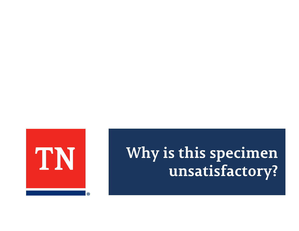# **Why is this specimen unsatisfactory?**

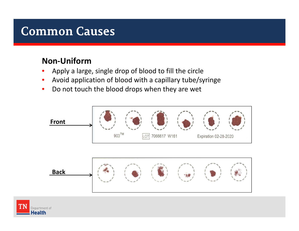### **Non‐Uniform**

- •Apply <sup>a</sup> large, single drop of blood to fill the circle
- •Avoid application of blood with <sup>a</sup> capillary tube/syringe
- $\bullet$ • Do not touch the blood drops when they are wet



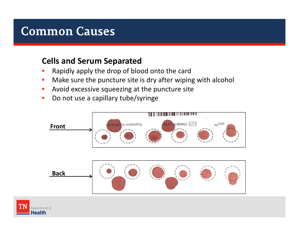#### **Cells and Serum Separated**

- •Rapidly apply the drop of blood onto the card
- $\bullet$ • Make sure the puncture site is dry after wiping with alcohol
- $\bullet$ • Avoid excessive squeezing at the puncture site
- $\bullet$ • Do not use a capillary tube/syringe



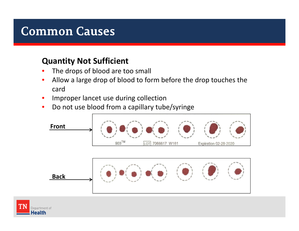### **Quantity Not Sufficient**

- •• The drops of blood are too small
- $\bullet$  Allow <sup>a</sup> large drop of blood to form before the drop touches the card
- $\bullet$ Improper lancet use during collection
- $\bullet$ • Do not use blood from a capillary tube/syringe



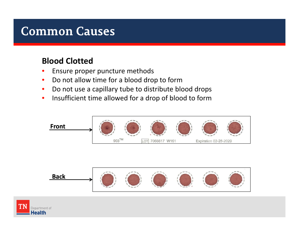### **Blood Clotted**

- •• Ensure proper puncture methods
- $\bullet$ • Do not allow time for a blood drop to form
- $\bullet$ • Do not use a capillary tube to distribute blood drops
- $\bullet$ • Insufficient time allowed for a drop of blood to form





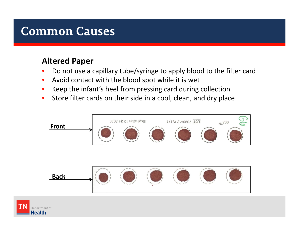### **Altered Paper**

- •• Do not use a capillary tube/syringe to apply blood to the filter card
- $\bullet$ • Avoid contact with the blood spot while it is wet
- $\bullet$ Keep the infant's heel from pressing card during collection
- $\bullet$ • Store filter cards on their side in a cool, clean, and dry place



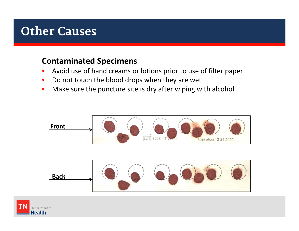#### **Contaminated Specimens**

- •Avoid use of hand creams or lotions prior to use of filter paper
- $\bullet$ • Do not touch the blood drops when they are wet
- $\bullet$ • Make sure the puncture site is dry after wiping with alcohol





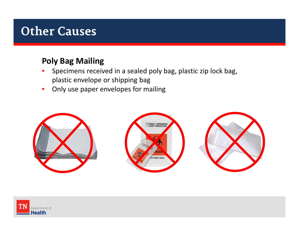#### **Poly Bag Mailing**

- $\bullet$  Specimens received in <sup>a</sup> sealed poly bag, plastic zip lock bag, plastic envelope or shipping bag
- $\bullet$ Only use paper envelopes for mailing



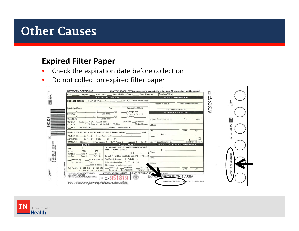#### **Expired Filter Paper**

- $\bullet$ • Check the expiration date before collection
- $\bullet$ • Do not collect on expired filter paper

|                                                                        | <b>NEWBORN SCREENING</b>                                                                                                                                                                          | TO AVOID RECOLLECTION - Accurately complete the entire form. All information must be printed. | $\boxed{2}$    |
|------------------------------------------------------------------------|---------------------------------------------------------------------------------------------------------------------------------------------------------------------------------------------------|-----------------------------------------------------------------------------------------------|----------------|
| 10534416<br>Rev.AJ                                                     | Prior Unsat Prior <24Hrs or Transf<br>Prior Abnormal<br>Repeat:<br>First                                                                                                                          | Previous TDH#                                                                                 | т              |
|                                                                        | <b>INFANT'S INFORMATION</b>                                                                                                                                                                       | <b>HOSPITAL INFORMATION</b>                                                                   | ص              |
| 画                                                                      | NO BLOOD SCREEN: 1. EXPIRED (Date           2. REFUSED (Attach Refusal Form)                                                                                                                      | Hospital of Collection ID<br>Hospital of Birth ID                                             | 803<br>UП<br>⊢ |
|                                                                        |                                                                                                                                                                                                   |                                                                                               | Ę<br>$\infty$  |
|                                                                        | Previous Last Name<br>Infant's Last Name<br>First                                                                                                                                                 | Infant Medical Record No.                                                                     | $\overline{}$  |
|                                                                        | 1. Single Birth<br><b>Birth Date</b><br><b>Birth Time</b><br>$2$ Twin ( $)A$ ( $)B$                                                                                                               | <b>MOTHER'S INFORMATION</b>                                                                   | ص              |
|                                                                        | $\sum_{\text{max}}$<br>3. Other                                                                                                                                                                   |                                                                                               |                |
| σ                                                                      | <b>Collect Time</b><br><b>Collect Date</b>                                                                                                                                                        | Mother's Current Last Name<br>First<br>Age                                                    | l5             |
| E95181                                                                 | ETHNICITY: ( )1. Hispanic<br><b>GENDER:</b><br>RACE: ( )1. White ( )2. Black<br>( )2.Non-Hispanic<br>( )3. Asian ( )4. Am. Ind ( )5. Other<br>)1. M                                               |                                                                                               |                |
|                                                                        | Grams GESTATION AGE:<br><b>BIRTH WEIGHT:</b><br>)2. F                                                                                                                                             | Address                                                                                       | 70984          |
|                                                                        |                                                                                                                                                                                                   | State<br>Zip<br>City                                                                          | ₹              |
|                                                                        | <b>Grams</b> Grams<br>INFANT STATUS AT TIME OF SPECIMEN COLLECTION: CURRENT WEIGHT.                                                                                                               |                                                                                               |                |
| $\approx$                                                              | TRANSFUSED: (<br>If yes, Date of Last: 1<br>N                                                                                                                                                     | Phone<br>2 Digit                                                                              |                |
|                                                                        | NICU: $($ $)Y$ $($ $)N$<br>ANTIBIOTICS: (<br>)N<br>)2.Non-Lactose ( )3.TPN/Lipids ( )4.Lactose ( )5.NPO<br>*FEEDING:( )1.Breast (                                                                 | Code<br>Mother's Social Security No.<br>County of Residence                                   |                |
|                                                                        | <b>PULSE OXIMETRY</b><br><b>HEARING</b>                                                                                                                                                           | PRIMARY CARE PROVIDER'S INFORMATION                                                           |                |
| <b>[VD]</b><br>1) Do not touch sample area<br>2) Do not use if damaged | SEE BACK OF FORM FOR SCREENING INSTRUCTIONS<br>Date:                                                                                                                                              |                                                                                               |                |
|                                                                        | Initial O2 Screen Date/Time:<br>ABR<br>OAE<br>Method:                                                                                                                                             | Phone                                                                                         |                |
|                                                                        | Pass $(1)$<br>Refer (2)<br>Right Ear:<br>Did both RH and foot need to be tested? ( )Y (<br>Pass (1)<br>Refer (2)<br>Left Ear:                                                                     |                                                                                               |                |
|                                                                        | Final Result: Passed () Failed ()<br>Still in Hospital (7)<br>Declined (5)                                                                                                                        | Name                                                                                          | qpiration      |
|                                                                        | Referred to Cardiology: ( )Y<br>Transferred (6)<br>Expired (8)<br>$(N - 1)$                                                                                                                       | Address                                                                                       |                |
| Initials                                                               | Unable to test (9)<br>If O2 screen not performed, reason:                                                                                                                                         |                                                                                               | $\sim$         |
|                                                                        | On $O2(3)$<br>Refused (1) Expired (2)<br>Risk Factors: 1口 2口 3口 4口 5口 6口<br>Transferred (6)<br>Echo'd $(4)$ Dx w/CCHD $(5)$                                                                       | State<br>Zip                                                                                  | ؽ              |
| ollectors<br>7098417<br>W171                                           | AO BO CO DO EO FO<br>DATE REC'D/LAB NO<br>TENNESSEE DEPARTMENT OF HEALTH<br><b>SPECIMEN CONTROL NUMBER</b>                                                                                        | ab Unsat:                                                                                     | -2020          |
|                                                                        | <b>LABORATORY SERVICES</b><br>芝<br>630 HART LANE, NASHVILLE, TENNESSEE                                                                                                                            | DO NOT WRITE IN THIS AREA                                                                     |                |
| $\overline{5}$                                                         | SN                                                                                                                                                                                                |                                                                                               |                |
|                                                                        | <sub>1</sub> Unless Transfusion is marked, the assumption is that the infant has not been transfused.<br>*Galactose results are based upon the assumption that the infant has had lactose feeding | Expiration 12-31-2020<br>Form PH 1582 REV. 02/17                                              |                |

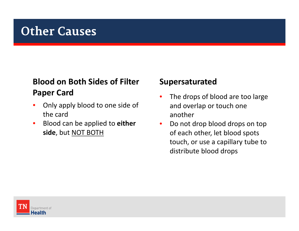### **Blood on Both Sides of Filter Paper Card** •

- $\bullet$  Only apply blood to one side of the card
- $\bullet$  Blood can be applied to **either side**, but NOT BOTH

#### **Supersaturated**

- The drops of blood are too large and overlap or touch one another
- •• Do not drop blood drops on top of each other, let blood spots touch, or use <sup>a</sup> capillary tube to distribute blood drops

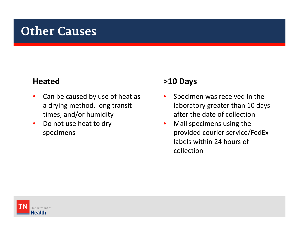#### **Heated**

- $\bullet$ • Can be caused by use of heat as a drying method, long transit times, and/or humidity
- $\bullet$ • Do not use heat to dry specimens

#### **>10 Days**

- • Specimen was received in the laboratory greater than 10 days after the date of collection
- $\bullet$  Mail specimens using the provided courier service/FedEx labels within 24 hours of collection

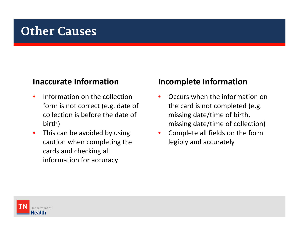#### **Inaccurate Information**

- $\bullet$ • Information on the collection form is not correct (e.g. date of collection is before the date of birth)
- $\bullet$ • This can be avoided by using caution when completing the cards and checking all information for accuracy

#### **Incomplete Information**

- •• Occurs when the information on the card is not completed (e.g. missing date/time of birth, missing date/time of collection)
- • Complete all fields on the form legibly and accurately

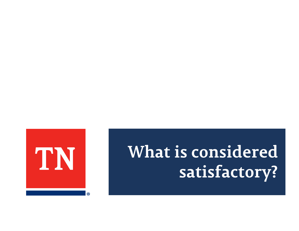# **What is considered satisfactory?**

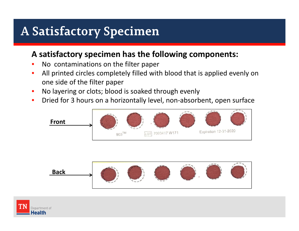# **A Satisfactory Specimen**

#### **A satisfactory specimen has the following components:**

- •• No contaminations on the filter paper
- • All printed circles completely filled with blood that is applied evenly on one side of the filter paper
- •• No layering or clots; blood is soaked through evenly
- •• Dried for 3 hours on a horizontally level, non-absorbent, open surface





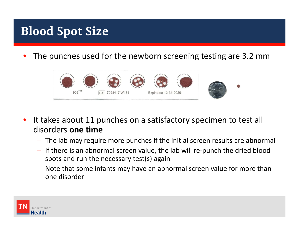# **Blood Spot Size**

•The punches used for the newborn screening testing are 3.2 mm



- •• It takes about 11 punches on a satisfactory specimen to test all disorders **one time**
	- The lab may require more punches if the initial screen results are abnormal
	- If there is an abnormal screen value, the lab will re‐punch the dried blood spots and run the necessary test(s) again
	- Note that some infants may have an abnormal screen value for more than one disorder

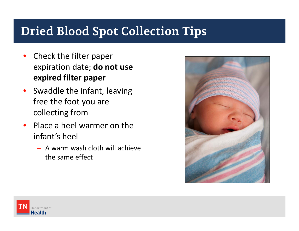# **Dried Blood Spot Collection Tips**

- •• Check the filter paper expiration date; **do not use expired filter paper**
- •• Swaddle the infant, leaving free the foot you are collecting from
- •• Place a heel warmer on the infant's heel
	- –A warm wash cloth will achieve the same effect



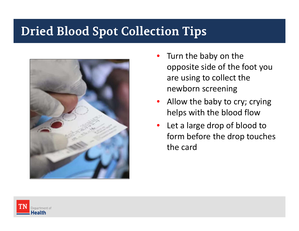### **Dried Blood Spot Collection Tips**



- •• Turn the baby on the opposite side of the foot you are using to collect the newborn screening
- $\bullet$ • Allow the baby to cry; crying helps with the blood flow
- $\bullet$ • Let a large drop of blood to form before the drop touches the card